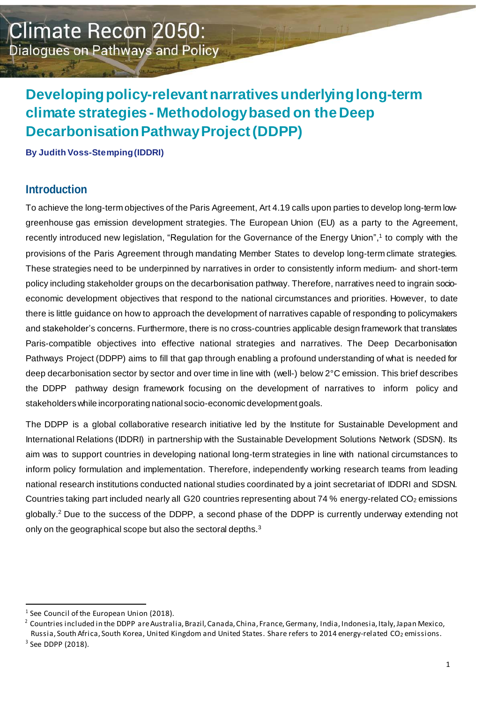# **Developingpolicy-relevantnarrativesunderlyinglong-term climate strategies - Methodologybased on theDeep Decarbonisation Pathway Project (DDPP)**

**By Judith Voss-Stemping(IDDRI)**

### **Introduction**

To achieve the long-term objectives of the Paris Agreement, Art 4.19 calls upon parties to develop long-term lowgreenhouse gas emission development strategies. The European Union (EU) as a party to the Agreement, recently introduced new legislation, "Regulation for the Governance of the Energy Union",<sup>1</sup> to comply with the provisions of the Paris Agreement through mandating Member States to develop long-term climate strategies. These strategies need to be underpinned by narratives in order to consistently inform medium- and short-term policy including stakeholder groups on the decarbonisation pathway. Therefore, narratives need to ingrain socioeconomic development objectives that respond to the national circumstances and priorities. However, to date there is little guidance on how to approach the development of narratives capable of responding to policymakers and stakeholder's concerns. Furthermore, there is no cross-countries applicable design framework that translates Paris-compatible objectives into effective national strategies and narratives. The Deep Decarbonisation Pathways Project (DDPP) aims to fill that gap through enabling a profound understanding of what is needed for deep decarbonisation sector by sector and over time in line with (well-) below 2°C emission. This brief describes the DDPP pathway design framework focusing on the development of narratives to inform policy and stakeholders while incorporating national socio-economic development goals.

The DDPP is a global collaborative research initiative led by the Institute for Sustainable Development and International Relations (IDDRI) in partnership with the Sustainable Development Solutions Network (SDSN). Its aim was to support countries in developing national long-term strategies in line with national circumstances to inform policy formulation and implementation. Therefore, independently working research teams from leading national research institutions conducted national studies coordinated by a joint secretariat of IDDRI and SDSN. Countries taking part included nearly all G20 countries representing about 74 % energy-related CO<sub>2</sub> emissions globally. <sup>2</sup> Due to the success of the DDPP, a second phase of the DDPP is currently underway extending not only on the geographical scope but also the sectoral depths.<sup>3</sup>

 $1$  See Council of the European Union (2018).

 $2$  Countries included in the DDPP are Australia, Brazil, Canada, China, France, Germany, India, Indonesia, Italy, Japan Mexico, Russia, South Africa, South Korea, United Kingdom and United States. Share refers to 2014 energy-related CO<sub>2</sub> emissions.  $3$  See DDPP (2018).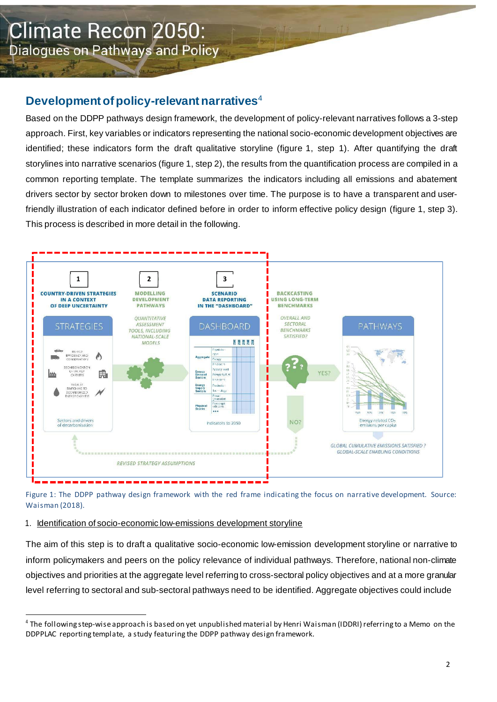# Development of policy-relevant narratives<sup>4</sup>

Based on the DDPP pathways design framework, the development of policy-relevant narratives follows a 3-step approach. First, key variables or indicators representing the national socio-economic development objectives are identified; these indicators form the draft qualitative storyline (figure 1, step 1). After quantifying the draft storylines into narrative scenarios (figure 1, step 2), the results from the quantification process are compiled in a common reporting template. The template summarizes the indicators including all emissions and abatement drivers sector by sector broken down to milestones over time. The purpose is to have a transparent and userfriendly illustration of each indicator defined before in order to inform effective policy design (figure 1, step 3). This process is described in more detail in the following.



Figure 1: The DDPP pathway design framework with the red frame indicating the focus on narrative development. Source: Waisman (2018).

#### 1. Identification of socio-economic low-emissions development storyline

The aim of this step is to draft a qualitative socio-economic low-emission development storyline or narrative to inform policymakers and peers on the policy relevance of individual pathways. Therefore, national non-climate objectives and priorities at the aggregate level referring to cross-sectoral policy objectives and at a more granular level referring to sectoral and sub-sectoral pathways need to be identified. Aggregate objectives could include

<sup>&</sup>lt;sup>4</sup> The following step-wise approach is based on yet unpublished material by Henri Waisman (IDDRI) referring to a Memo on the DDPPLAC reporting template, a study featuring the DDPP pathway design framework.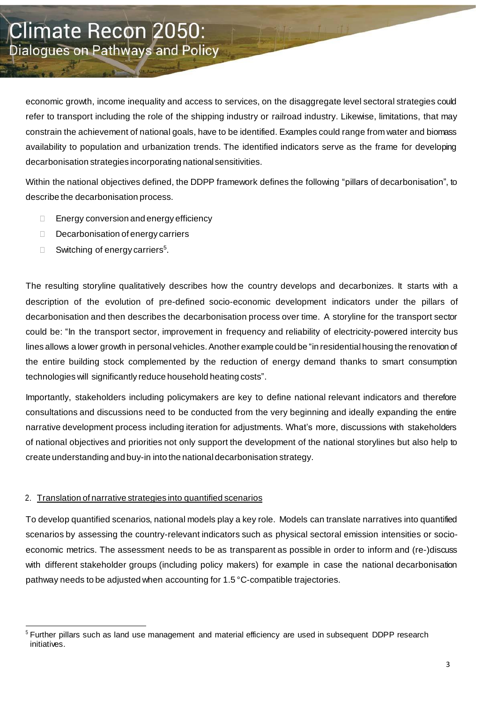economic growth, income inequality and access to services, on the disaggregate level sectoral strategies could refer to transport including the role of the shipping industry or railroad industry. Likewise, limitations, that may constrain the achievement of national goals, have to be identified. Examples could range from water and biomass availability to population and urbanization trends. The identified indicators serve as the frame for developing decarbonisation strategies incorporating national sensitivities.

Within the national objectives defined, the DDPP framework defines the following "pillars of decarbonisation", to describe the decarbonisation process.

- $\Box$  Energy conversion and energy efficiency
- $\Box$  Decarbonisation of energy carriers
- □ Switching of energy carriers<sup>5</sup>.

The resulting storyline qualitatively describes how the country develops and decarbonizes. It starts with a description of the evolution of pre-defined socio-economic development indicators under the pillars of decarbonisation and then describes the decarbonisation process over time. A storyline for the transport sector could be: "In the transport sector, improvement in frequency and reliability of electricity-powered intercity bus lines allows a lower growth in personal vehicles. Another example could be "in residential housing the renovation of the entire building stock complemented by the reduction of energy demand thanks to smart consumption technologies will significantly reduce household heating costs".

Importantly, stakeholders including policymakers are key to define national relevant indicators and therefore consultations and discussions need to be conducted from the very beginning and ideally expanding the entire narrative development process including iteration for adjustments. What's more, discussions with stakeholders of national objectives and priorities not only support the development of the national storylines but also help to create understanding and buy-in into the national decarbonisation strategy.

#### 2. Translation of narrative strategies into quantified scenarios

To develop quantified scenarios, national models play a key role. Models can translate narratives into quantified scenarios by assessing the country-relevant indicators such as physical sectoral emission intensities or socioeconomic metrics. The assessment needs to be as transparent as possible in order to inform and (re-)discuss with different stakeholder groups (including policy makers) for example in case the national decarbonisation pathway needs to be adjusted when accounting for 1.5 °C-compatible trajectories.

<sup>&</sup>lt;sup>5</sup> Further pillars such as land use management and material efficiency are used in subsequent DDPP research initiatives.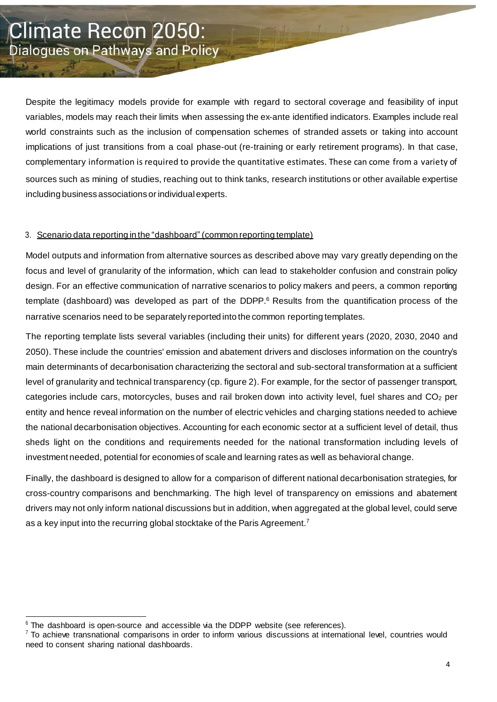Despite the legitimacy models provide for example with regard to sectoral coverage and feasibility of input variables, models may reach their limits when assessing the ex-ante identified indicators. Examples include real world constraints such as the inclusion of compensation schemes of stranded assets or taking into account implications of just transitions from a coal phase-out (re-training or early retirement programs). In that case, complementary information is required to provide the quantitative estimates. These can come from a variety of sources such as mining of studies, reaching out to think tanks, research institutions or other available expertise including business associations or individualexperts.

#### 3. Scenario data reporting in the "dashboard" (common reporting template)

Model outputs and information from alternative sources as described above may vary greatly depending on the focus and level of granularity of the information, which can lead to stakeholder confusion and constrain policy design. For an effective communication of narrative scenarios to policy makers and peers, a common reporting template (dashboard) was developed as part of the DDPP. <sup>6</sup> Results from the quantification process of the narrative scenarios need to be separately reported into the common reporting templates.

The reporting template lists several variables (including their units) for different years (2020, 2030, 2040 and 2050). These include the countries' emission and abatement drivers and discloses information on the country's main determinants of decarbonisation characterizing the sectoral and sub-sectoral transformation at a sufficient level of granularity and technical transparency (cp. figure 2). For example, for the sector of passenger transport, categories include cars, motorcycles, buses and rail broken down into activity level, fuel shares and  $CO<sub>2</sub>$  per entity and hence reveal information on the number of electric vehicles and charging stations needed to achieve the national decarbonisation objectives. Accounting for each economic sector at a sufficient level of detail, thus sheds light on the conditions and requirements needed for the national transformation including levels of investment needed, potential for economies of scale and learning rates as well as behavioral change.

Finally, the dashboard is designed to allow for a comparison of different national decarbonisation strategies, for cross-country comparisons and benchmarking. The high level of transparency on emissions and abatement drivers may not only inform national discussions but in addition, when aggregated at the global level, could serve as a key input into the recurring global stocktake of the Paris Agreement.<sup>7</sup>

 $6$  The dashboard is open-source and accessible via the DDPP website (see references).

 $7$  To achieve transnational comparisons in order to inform various discussions at international level, countries would need to consent sharing national dashboards.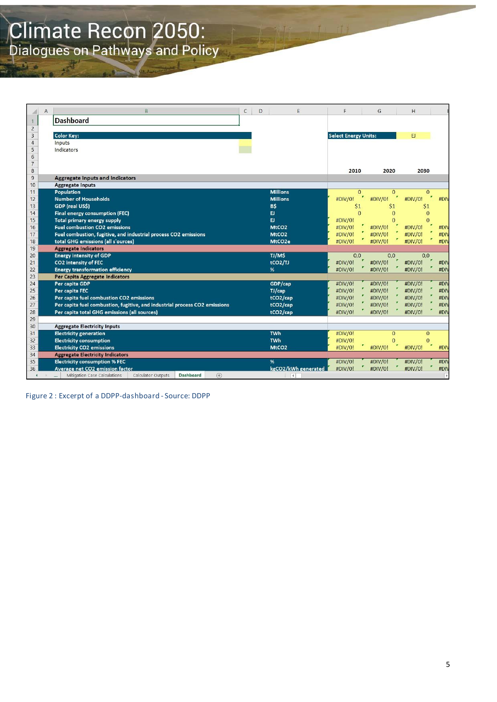# **Climate Recon 2050:**<br>Dialogues on Pathways and Policy

|                      | A | B                                                                          | $\mathsf{C}$ | D |                                    | E | F                           | G                 | H               |                          |
|----------------------|---|----------------------------------------------------------------------------|--------------|---|------------------------------------|---|-----------------------------|-------------------|-----------------|--------------------------|
| $\mathbf{1}$         |   | <b>Dashboard</b>                                                           |              |   |                                    |   |                             |                   |                 |                          |
| $\overline{c}$       |   |                                                                            |              |   |                                    |   |                             |                   |                 |                          |
| $\overline{3}$       |   | <b>Color Key:</b>                                                          |              |   |                                    |   | <b>Select Energy Units:</b> |                   | EJ              |                          |
| $\overline{4}$       |   | Inputs                                                                     |              |   |                                    |   |                             |                   |                 |                          |
| 5                    |   | Indicators                                                                 |              |   |                                    |   |                             |                   |                 |                          |
| $6\phantom{.}6$      |   |                                                                            |              |   |                                    |   |                             |                   |                 |                          |
| $\overline{7}$       |   |                                                                            |              |   |                                    |   |                             |                   |                 |                          |
| 8                    |   |                                                                            |              |   |                                    |   | 2010                        | 2020              | 2030            |                          |
| $\overline{9}$       |   | <b>Aggregate Inputs and Indicators</b>                                     |              |   |                                    |   |                             |                   |                 |                          |
| 10                   |   | <b>Aggregate Inputs</b>                                                    |              |   |                                    |   |                             |                   |                 |                          |
| 11                   |   | Population                                                                 |              |   | <b>Millions</b><br><b>Millions</b> |   | $\Omega$                    | $\Omega$          | $\Omega$        | #DIV                     |
| 12<br>13             |   | <b>Number of Households</b>                                                |              |   |                                    |   | #DIV/0!                     | #DIV/0!           | #DIV/0!         |                          |
| 14                   |   | GDP (real US\$)<br>Final energy consumption (FEC)                          |              |   | B\$<br>EJ.                         |   | \$1<br>$\Omega$             | \$1<br>$\Omega$   | \$1<br>$\Omega$ |                          |
| 15                   |   | <b>Total primary energy supply</b>                                         |              |   | EJ.                                |   | #DIV/0!                     | $\Omega$          | $\Omega$        |                          |
| 16                   |   | <b>Fuel combustion CO2 emissions</b>                                       |              |   | MtCO <sub>2</sub>                  |   | #DIV/0!                     | #DIV/0!           | #DIV/0!         | #DI                      |
| 17                   |   | Fuel combustion, fugitive, and industrial process CO2 emissions            |              |   | MtCO <sub>2</sub>                  |   | #DIV/0!                     | #DIV/0!           | #DIV/0!         | #DI\                     |
| 18                   |   | total GHG emissions (all s'ources)                                         |              |   | MtCO <sub>2e</sub>                 |   | #DIV/0!                     | ۳<br>۳<br>#DIV/0! | ۳<br>#DIV/0!    | #DIV                     |
| 19                   |   | <b>Aggregate Indicators</b>                                                |              |   |                                    |   |                             |                   |                 |                          |
| 20                   |   | <b>Energy intensity of GDP</b>                                             |              |   | TJ/M\$                             |   | 0,0                         | 0,0               | 0,0             |                          |
| 21                   |   | CO2 intensity of FEC                                                       |              |   | tCO <sub>2</sub> /TJ               |   | #DIV/0!                     | #DIV/0!           | #DIV/0!         | #DI\                     |
| 22                   |   | <b>Energy transformation efficiency</b>                                    |              |   | %                                  |   | #DIV/0!                     | #DIV/0!           | #DIV/0!         | #DI\                     |
| 23                   |   | Per Capita Aggregate Indicators                                            |              |   |                                    |   |                             |                   |                 |                          |
| 24                   |   | Per capita GDP                                                             |              |   | GDP/cap                            |   | #DIV/0!                     | #DIV/0!           | #DIV/0!         | #DI\                     |
| 25                   |   | Per capita FEC                                                             |              |   | TJ/cap                             |   | #DIV/0!                     | #DIV/0!           | #DIV/0!         | #DI\                     |
| 26                   |   | Per capita fuel combustion CO2 emissions                                   |              |   | tCO2/cap                           |   | #DIV/0!                     | #DIV/0!           | #DIV/0!         | #DI                      |
| 27                   |   | Per capita fuel combustion, fugitive, and industrial process CO2 emissions |              |   | tCO2/cap                           |   | #DIV/0!                     | #DIV/0!           | #DIV/0!         | #DI                      |
| 28                   |   | Per capita total GHG emissions (all sources)                               |              |   | tCO2/cap                           |   | #DIV/0!                     | #DIV/0!           | #DIV/0!         | #DI                      |
| 29                   |   |                                                                            |              |   |                                    |   |                             |                   |                 |                          |
| 30                   |   | <b>Aggregate Electricity Inputs</b>                                        |              |   |                                    |   |                             |                   |                 |                          |
| 31                   |   | <b>Electricity generation</b>                                              |              |   | <b>TWh</b>                         |   | #DIV/0!                     | $\mathbf{0}$      | $\mathbf{0}$    |                          |
| 32                   |   | <b>Electricity consumption</b>                                             |              |   | <b>TWh</b>                         |   | #DIV/0!                     | $\Omega$          | $\Omega$        |                          |
| 33                   |   | <b>Electricity CO2 emissions</b>                                           |              |   | MtCO <sub>2</sub>                  |   | #DIV/0!                     | #DIV/0!           | #DIV/0!         | #DI\                     |
| 34                   |   | <b>Aggregate Electricity Indicators</b>                                    |              |   |                                    |   |                             |                   |                 |                          |
| 35                   |   | <b>Electricity consumption % FEC</b>                                       |              |   | %                                  |   | #DIV/0!                     | #DIV/0!           | #DIV/0!         | #DI\                     |
| 36                   |   | Average net CO2 emission factor<br>Calculator Outputs<br><b>Dashboard</b>  |              |   | kgCO2/kWh generated                |   | #DIV/0!                     | #DIV/0!           | #DIV/0!         | #DI\                     |
| $\blacktriangleleft$ |   | Mitigation Case Calculations<br>$\bigoplus$<br>                            |              |   | $\vert \vert$                      |   |                             |                   |                 | $\overline{\phantom{a}}$ |

Figure 2 : Excerpt of a DDPP-dashboard - Source: DDPP